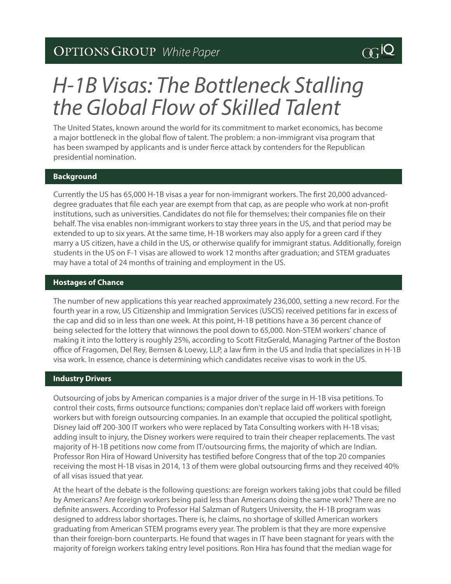### *White Paper*

# *H-1B Visas: The Bottleneck Stalling the Global Flow of Skilled Talent*

The United States, known around the world for its commitment to market economics, has become a major bottleneck in the global flow of talent. The problem: a non-immigrant visa program that has been swamped by applicants and is under fierce attack by contenders for the Republican presidential nomination.

#### **Background**

Currently the US has 65,000 H-1B visas a year for non-immigrant workers. The first 20,000 advanceddegree graduates that file each year are exempt from that cap, as are people who work at non-profit institutions, such as universities. Candidates do not file for themselves; their companies file on their behalf. The visa enables non-immigrant workers to stay three years in the US, and that period may be extended to up to six years. At the same time, H-1B workers may also apply for a green card if they marry a US citizen, have a child in the US, or otherwise qualify for immigrant status. Additionally, foreign students in the US on F-1 visas are allowed to work 12 months after graduation; and STEM graduates may have a total of 24 months of training and employment in the US.

#### **Hostages of Chance**

The number of new applications this year reached approximately 236,000, setting a new record. For the fourth year in a row, US Citizenship and Immigration Services (USCIS) received petitions far in excess of the cap and did so in less than one week. At this point, H-1B petitions have a 36 percent chance of being selected for the lottery that winnows the pool down to 65,000. Non-STEM workers' chance of making it into the lottery is roughly 25%, according to Scott FitzGerald, Managing Partner of the Boston office of Fragomen, Del Rey, Bernsen & Loewy, LLP, a law firm in the US and India that specializes in H-1B visa work. In essence, chance is determining which candidates receive visas to work in the US.

#### **Industry Drivers**

Outsourcing of jobs by American companies is a major driver of the surge in H-1B visa petitions. To control their costs, firms outsource functions; companies don't replace laid off workers with foreign workers but with foreign outsourcing companies. In an example that occupied the political spotlight, Disney laid off 200-300 IT workers who were replaced by Tata Consulting workers with H-1B visas; adding insult to injury, the Disney workers were required to train their cheaper replacements. The vast majority of H-1B petitions now come from IT/outsourcing firms, the majority of which are Indian. Professor Ron Hira of Howard University has testified before Congress that of the top 20 companies receiving the most H-1B visas in 2014, 13 of them were global outsourcing firms and they received 40% of all visas issued that year.

At the heart of the debate is the following questions: are foreign workers taking jobs that could be filled by Americans? Are foreign workers being paid less than Americans doing the same work? There are no definite answers. According to Professor Hal Salzman of Rutgers University, the H-1B program was designed to address labor shortages. There is, he claims, no shortage of skilled American workers graduating from American STEM programs every year. The problem is that they are more expensive than their foreign-born counterparts. He found that wages in IT have been stagnant for years with the majority of foreign workers taking entry level positions. Ron Hira has found that the median wage for

## $\alpha$ iQ